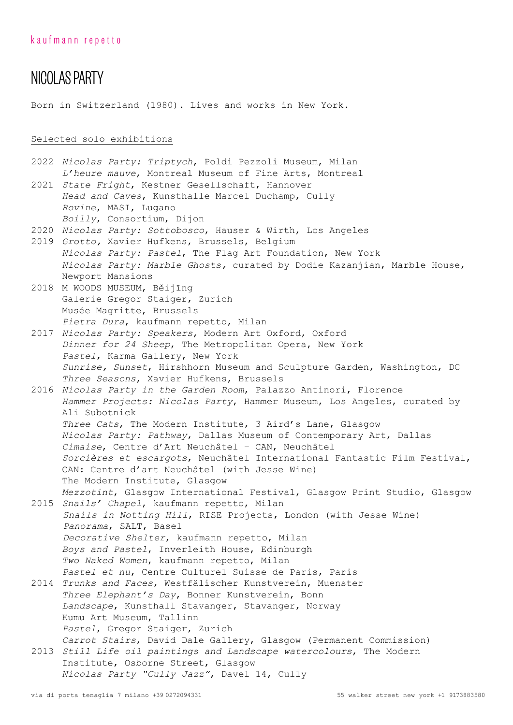# NICOLAS PARTY

Born in Switzerland (1980). Lives and works in New York.

# Selected solo exhibitions

|                                                            | 2022 Nicolas Party: Triptych, Poldi Pezzoli Museum, Milan                                                  |  |  |  |  |  |  |  |  |  |
|------------------------------------------------------------|------------------------------------------------------------------------------------------------------------|--|--|--|--|--|--|--|--|--|
|                                                            | L'heure mauve, Montreal Museum of Fine Arts, Montreal                                                      |  |  |  |  |  |  |  |  |  |
|                                                            | 2021 State Fright, Kestner Gesellschaft, Hannover                                                          |  |  |  |  |  |  |  |  |  |
|                                                            | Head and Caves, Kunsthalle Marcel Duchamp, Cully                                                           |  |  |  |  |  |  |  |  |  |
|                                                            | Rovine, MASI, Lugano                                                                                       |  |  |  |  |  |  |  |  |  |
|                                                            | Boilly, Consortium, Dijon                                                                                  |  |  |  |  |  |  |  |  |  |
|                                                            | 2020 Nicolas Party: Sottobosco, Hauser & Wirth, Los Angeles                                                |  |  |  |  |  |  |  |  |  |
|                                                            | 2019 Grotto, Xavier Hufkens, Brussels, Belgium                                                             |  |  |  |  |  |  |  |  |  |
|                                                            | Nicolas Party: Pastel, The Flag Art Foundation, New York                                                   |  |  |  |  |  |  |  |  |  |
|                                                            | Nicolas Party: Marble Ghosts, curated by Dodie Kazanjian, Marble House,<br>Newport Mansions                |  |  |  |  |  |  |  |  |  |
|                                                            |                                                                                                            |  |  |  |  |  |  |  |  |  |
|                                                            | 2018 M WOODS MUSEUM, Běijing                                                                               |  |  |  |  |  |  |  |  |  |
| Galerie Gregor Staiger, Zurich<br>Musée Magritte, Brussels |                                                                                                            |  |  |  |  |  |  |  |  |  |
|                                                            | Pietra Dura, kaufmann repetto, Milan                                                                       |  |  |  |  |  |  |  |  |  |
|                                                            | 2017 Nicolas Party: Speakers, Modern Art Oxford, Oxford                                                    |  |  |  |  |  |  |  |  |  |
|                                                            | Dinner for 24 Sheep, The Metropolitan Opera, New York                                                      |  |  |  |  |  |  |  |  |  |
|                                                            | Pastel, Karma Gallery, New York                                                                            |  |  |  |  |  |  |  |  |  |
|                                                            | Sunrise, Sunset, Hirshhorn Museum and Sculpture Garden, Washington, DC                                     |  |  |  |  |  |  |  |  |  |
|                                                            | Three Seasons, Xavier Hufkens, Brussels                                                                    |  |  |  |  |  |  |  |  |  |
|                                                            | 2016 Nicolas Party in the Garden Room, Palazzo Antinori, Florence                                          |  |  |  |  |  |  |  |  |  |
|                                                            | Hammer Projects: Nicolas Party, Hammer Museum, Los Angeles, curated by                                     |  |  |  |  |  |  |  |  |  |
|                                                            | Ali Subotnick                                                                                              |  |  |  |  |  |  |  |  |  |
|                                                            | Three Cats, The Modern Institute, 3 Aird's Lane, Glasgow                                                   |  |  |  |  |  |  |  |  |  |
|                                                            | Nicolas Party: Pathway, Dallas Museum of Contemporary Art, Dallas                                          |  |  |  |  |  |  |  |  |  |
|                                                            | Cimaise, Centre d'Art Neuchâtel - CAN, Neuchâtel                                                           |  |  |  |  |  |  |  |  |  |
|                                                            | Sorcières et escargots, Neuchâtel International Fantastic Film Festival,                                   |  |  |  |  |  |  |  |  |  |
|                                                            | CAN: Centre d'art Neuchâtel (with Jesse Wine)                                                              |  |  |  |  |  |  |  |  |  |
|                                                            | The Modern Institute, Glasgow                                                                              |  |  |  |  |  |  |  |  |  |
|                                                            | Mezzotint, Glasgow International Festival, Glasgow Print Studio, Glasgow                                   |  |  |  |  |  |  |  |  |  |
|                                                            | 2015 Snails' Chapel, kaufmann repetto, Milan                                                               |  |  |  |  |  |  |  |  |  |
|                                                            | Snails in Notting Hill, RISE Projects, London (with Jesse Wine)                                            |  |  |  |  |  |  |  |  |  |
|                                                            | Panorama, SALT, Basel                                                                                      |  |  |  |  |  |  |  |  |  |
|                                                            | Decorative Shelter, kaufmann repetto, Milan                                                                |  |  |  |  |  |  |  |  |  |
|                                                            | Boys and Pastel, Inverleith House, Edinburgh                                                               |  |  |  |  |  |  |  |  |  |
|                                                            | Two Naked Women, kaufmann repetto, Milan                                                                   |  |  |  |  |  |  |  |  |  |
|                                                            | Pastel et nu, Centre Culturel Suisse de Paris, Paris                                                       |  |  |  |  |  |  |  |  |  |
|                                                            | 2014 Trunks and Faces, Westfälischer Kunstverein, Muenster                                                 |  |  |  |  |  |  |  |  |  |
|                                                            | Three Elephant's Day, Bonner Kunstverein, Bonn                                                             |  |  |  |  |  |  |  |  |  |
|                                                            | Landscape, Kunsthall Stavanger, Stavanger, Norway                                                          |  |  |  |  |  |  |  |  |  |
|                                                            | Kumu Art Museum, Tallinn                                                                                   |  |  |  |  |  |  |  |  |  |
|                                                            | Pastel, Gregor Staiger, Zurich                                                                             |  |  |  |  |  |  |  |  |  |
|                                                            | Carrot Stairs, David Dale Gallery, Glasgow (Permanent Commission)                                          |  |  |  |  |  |  |  |  |  |
|                                                            | 2013 Still Life oil paintings and Landscape watercolours, The Modern<br>Institute, Osborne Street, Glasgow |  |  |  |  |  |  |  |  |  |
|                                                            | Nicolas Party "Cully Jazz", Davel 14, Cully                                                                |  |  |  |  |  |  |  |  |  |
|                                                            |                                                                                                            |  |  |  |  |  |  |  |  |  |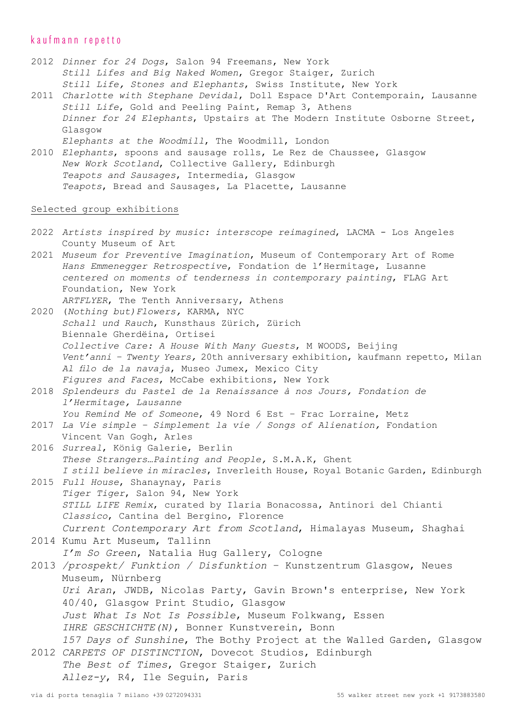## kaufmann repetto

- 2012 *Dinner for 24 Dogs*, Salon 94 Freemans, New York *Still Lifes and Big Naked Women*, Gregor Staiger, Zurich *Still Life, Stones and Elephants*, Swiss Institute, New York
- 2011 *Charlotte with Stephane Devidal*, Doll Espace D'Art Contemporain, Lausanne *Still Life*, Gold and Peeling Paint, Remap 3, Athens *Dinner for 24 Elephants*, Upstairs at The Modern Institute Osborne Street, Glasgow *Elephants at the Woodmill*, The Woodmill, London

2010 *Elephants*, spoons and sausage rolls, Le Rez de Chaussee, Glasgow *New Work Scotland*, Collective Gallery, Edinburgh *Teapots and Sausages*, Intermedia, Glasgow *Teapots*, Bread and Sausages, La Placette, Lausanne

#### Selected group exhibitions

- 2022 *Artists inspired by music: interscope reimagined*, LACMA Los Angeles County Museum of Art
- 2021 *Museum for Preventive Imagination*, Museum of Contemporary Art of Rome *Hans Emmenegger Retrospective*, Fondation de l'Hermitage, Lusanne *centered on moments of tenderness in contemporary painting*, FLAG Art Foundation, New York
- *ARTFLYER*, The Tenth Anniversary, Athens 2020 (*Nothing but)Flowers,* KARMA, NYC *Schall und Rauch*, Kunsthaus Zürich, Zürich Biennale Gherdëina, Ortisei *Collective Care: A House With Many Guests*, M WOODS, Beijing
- *Vent'anni Twenty Years,* 20th anniversary exhibition, kaufmann repetto, Milan *Al filo de la navaja*, Museo Jumex, Mexico City *Figures and Faces*, McCabe exhibitions, New York
- 2018 *Splendeurs du Pastel de la Renaissance à nos Jours, Fondation de l'Hermitage, Lausanne You Remind Me of Someone*, 49 Nord 6 Est – Frac Lorraine, Metz
- 2017 *La Vie simple Simplement la vie / Songs of Alienation,* Fondation Vincent Van Gogh, Arles
- 2016 *Surreal*, König Galerie, Berlin *These Strangers…Painting and People,* S.M.A.K, Ghent *I still believe in miracles*, Inverleith House, Royal Botanic Garden, Edinburgh
- 2015 *Full House*, Shanaynay, Paris *Tiger Tiger*, Salon 94, New York *STILL LIFE Remix*, curated by Ilaria Bonacossa, Antinori del Chianti *Classico*, Cantina del Bergino, Florence *Current Contemporary Art from Scotland*, Himalayas Museum, Shaghai
- 2014 Kumu Art Museum, Tallinn
	- *I'm So Green*, Natalia Hug Gallery, Cologne

2013 */prospekt/ Funktion / Disfunktion* – Kunstzentrum Glasgow, Neues Museum, Nürnberg *Uri Aran*, JWDB, Nicolas Party, Gavin Brown's enterprise, New York 40/40, Glasgow Print Studio, Glasgow *Just What Is Not Is Possible*, Museum Folkwang, Essen *IHRE GESCHICHTE(N)*, Bonner Kunstverein, Bonn *157 Days of Sunshine*, The Bothy Project at the Walled Garden, Glasgow 2012 *CARPETS OF DISTINCTION*, Dovecot Studios, Edinburgh

*The Best of Times*, Gregor Staiger, Zurich *Allez-y*, R4, Ile Seguin, Paris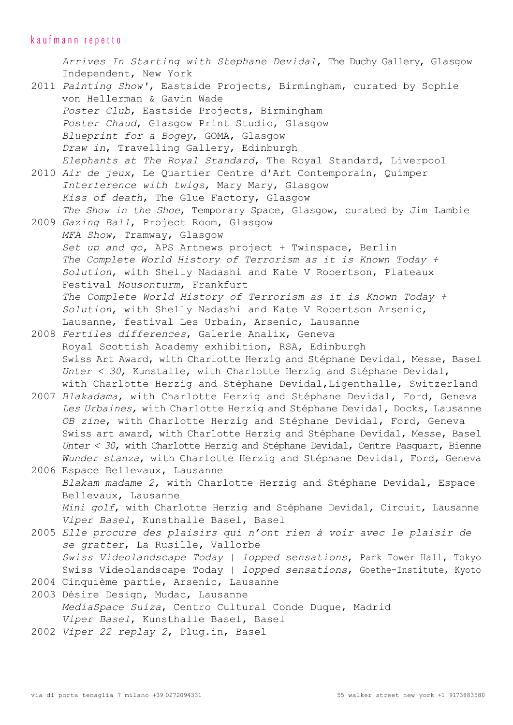# kaufmann repetto

*Arrives In Starting with Stephane Devidal*, The Duchy Gallery, Glasgow Independent, New York

- 2011 *Painting Show'*, Eastside Projects, Birmingham, curated by Sophie von Hellerman & Gavin Wade *Poster Club*, Eastside Projects, Birmingham *Poster Chaud*, Glasgow Print Studio, Glasgow *Blueprint for a Bogey*, GOMA, Glasgow *Draw in*, Travelling Gallery, Edinburgh *Elephants at The Royal Standard*, The Royal Standard, Liverpool
- 2010 *Air de jeux*, Le Quartier Centre d'Art Contemporain, Quimper *Interference with twigs*, Mary Mary, Glasgow *Kiss of death*, The Glue Factory, Glasgow *The Show in the Shoe*, Temporary Space, Glasgow, curated by Jim Lambie
- 2009 *Gazing Ball*, Project Room, Glasgow *MFA Show*, Tramway, Glasgow *Set up and go*, APS Artnews project + Twinspace, Berlin *The Complete World History of Terrorism as it is Known Today + Solution*, with Shelly Nadashi and Kate V Robertson, Plateaux Festival *Mousonturm*, Frankfurt *The Complete World History of Terrorism as it is Known Today + Solution*, with Shelly Nadashi and Kate V Robertson Arsenic, Lausanne, festival Les Urbain, Arsenic, Lausanne
- 2008 *Fertiles differences*, Galerie Analix, Geneva Royal Scottish Academy exhibition, RSA, Edinburgh Swiss Art Award, with Charlotte Herzig and Stéphane Devidal, Messe, Basel *Unter < 30*, Kunstalle, with Charlotte Herzig and Stéphane Devidal, with Charlotte Herzig and Stéphane Devidal, Ligenthalle, Switzerland
- 2007 *Blakadama*, with Charlotte Herzig and Stéphane Devidal, Ford, Geneva *Les Urbaines*, with Charlotte Herzig and Stéphane Devidal, Docks, Lausanne *OB zine*, with Charlotte Herzig and Stéphane Devidal, Ford, Geneva Swiss art award, with Charlotte Herzig and Stéphane Devidal, Messe, Basel *Unter < 30*, with Charlotte Herzig and Stéphane Devidal, Centre Pasquart, Bienne *Wunder stanza*, with Charlotte Herzig and Stéphane Devidal, Ford, Geneva

2006 Espace Bellevaux, Lausanne *Blakam madame 2*, with Charlotte Herzig and Stéphane Devidal, Espace Bellevaux, Lausanne *Mini golf*, with Charlotte Herzig and Stéphane Devidal, Circuit, Lausanne *Viper Basel*, Kunsthalle Basel, Basel

- 2005 *Elle procure des plaisirs qui n'ont rien à voir avec le plaisir de se gratter*, La Rusille, Vallorbe *Swiss Videolandscape Today | lopped sensations*, Park Tower Hall, Tokyo Swiss Videolandscape Today *| lopped sensations*, Goethe-Institute, Kyoto
- 2004 Cinquième partie, Arsenic, Lausanne
- 2003 Désire Design, Mudac, Lausanne *MediaSpace Suiza*, Centro Cultural Conde Duque, Madrid *Viper Basel*, Kunsthalle Basel, Basel
- 2002 *Viper 22 replay 2*, Plug.in, Basel